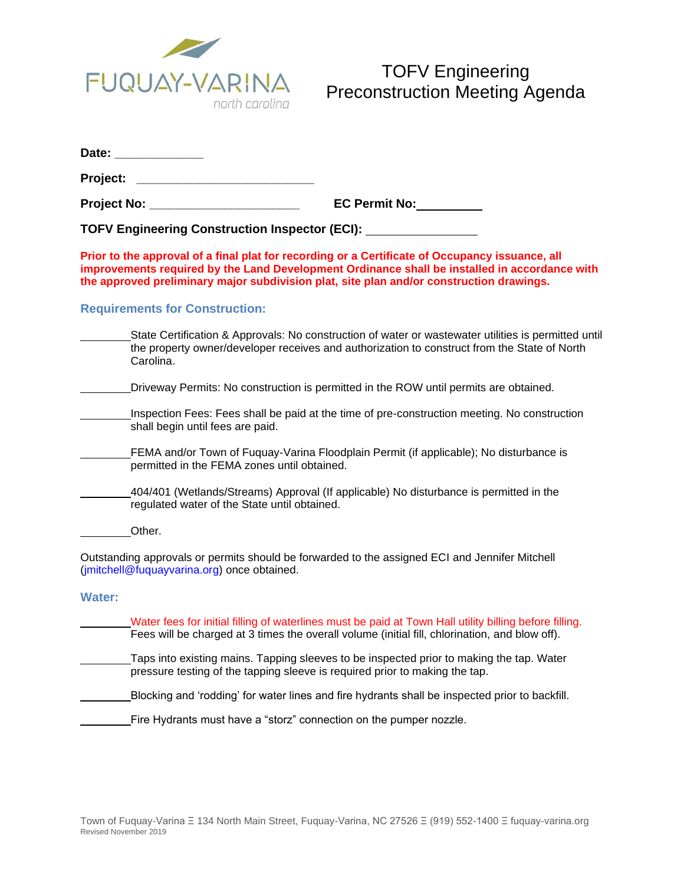

|               | Date: ______________                                                                                                                                                                                                                                                                         |
|---------------|----------------------------------------------------------------------------------------------------------------------------------------------------------------------------------------------------------------------------------------------------------------------------------------------|
| Project: _    |                                                                                                                                                                                                                                                                                              |
|               | Project No: <u>with the set of the set of the set of the set of the set of the set of the set of the set of the set of the set of the set of the set of the set of the set of the set of the set of the set of the set of the se</u><br>EC Permit No:                                        |
|               | TOFV Engineering Construction Inspector (ECI): [2006] [2006] TOFV Engineering Construction Inspector (ECI):                                                                                                                                                                                  |
|               | Prior to the approval of a final plat for recording or a Certificate of Occupancy issuance, all<br>improvements required by the Land Development Ordinance shall be installed in accordance with<br>the approved preliminary major subdivision plat, site plan and/or construction drawings. |
|               | <b>Requirements for Construction:</b>                                                                                                                                                                                                                                                        |
|               | State Certification & Approvals: No construction of water or wastewater utilities is permitted until<br>the property owner/developer receives and authorization to construct from the State of North<br>Carolina.                                                                            |
|               | Driveway Permits: No construction is permitted in the ROW until permits are obtained.                                                                                                                                                                                                        |
|               | Inspection Fees: Fees shall be paid at the time of pre-construction meeting. No construction<br>shall begin until fees are paid.                                                                                                                                                             |
|               | FEMA and/or Town of Fuquay-Varina Floodplain Permit (if applicable); No disturbance is<br>permitted in the FEMA zones until obtained.                                                                                                                                                        |
|               | 404/401 (Wetlands/Streams) Approval (If applicable) No disturbance is permitted in the<br>regulated water of the State until obtained.                                                                                                                                                       |
|               | Other.                                                                                                                                                                                                                                                                                       |
|               | Outstanding approvals or permits should be forwarded to the assigned ECI and Jennifer Mitchell<br>(jmitchell@fuquayvarina.org) once obtained.                                                                                                                                                |
| <b>Water:</b> |                                                                                                                                                                                                                                                                                              |
|               | Water fees for initial filling of waterlines must be paid at Town Hall utility billing before filling.<br>Fees will be charged at 3 times the overall volume (initial fill, chlorination, and blow off).                                                                                     |

Taps into existing mains. Tapping sleeves to be inspected prior to making the tap. Water pressure testing of the tapping sleeve is required prior to making the tap.

Blocking and 'rodding' for water lines and fire hydrants shall be inspected prior to backfill.

Fire Hydrants must have a "storz" connection on the pumper nozzle.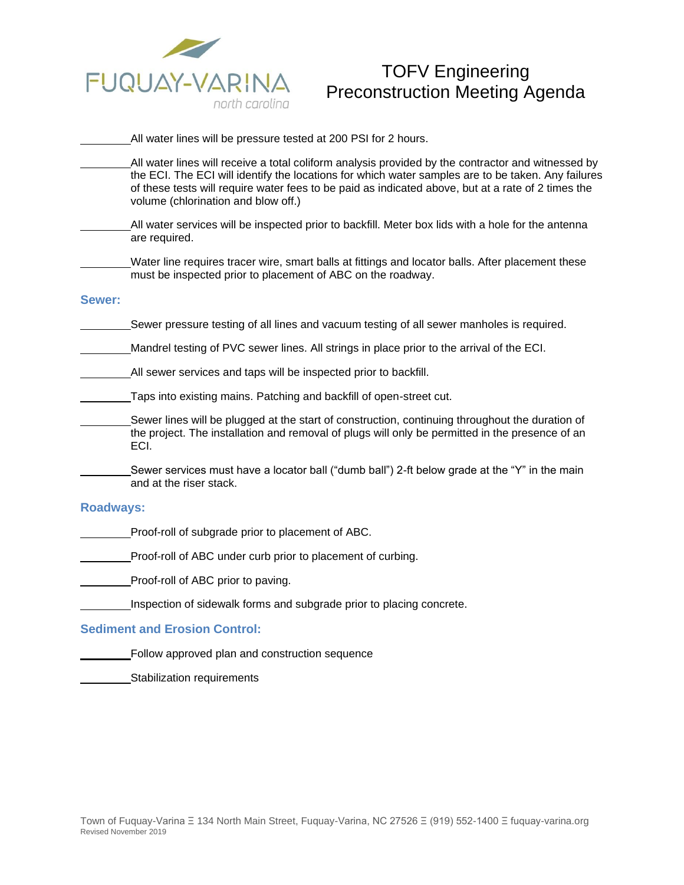

# TOFV Engineering Preconstruction Meeting Agenda

All water lines will be pressure tested at 200 PSI for 2 hours.

- All water lines will receive a total coliform analysis provided by the contractor and witnessed by the ECI. The ECI will identify the locations for which water samples are to be taken. Any failures of these tests will require water fees to be paid as indicated above, but at a rate of 2 times the volume (chlorination and blow off.)
- All water services will be inspected prior to backfill. Meter box lids with a hole for the antenna are required.

Water line requires tracer wire, smart balls at fittings and locator balls. After placement these must be inspected prior to placement of ABC on the roadway.

### **Sewer:**

Sewer pressure testing of all lines and vacuum testing of all sewer manholes is required.

Mandrel testing of PVC sewer lines. All strings in place prior to the arrival of the ECI.

All sewer services and taps will be inspected prior to backfill.

Taps into existing mains. Patching and backfill of open-street cut.

Sewer lines will be plugged at the start of construction, continuing throughout the duration of the project. The installation and removal of plugs will only be permitted in the presence of an ECI.

Sewer services must have a locator ball ("dumb ball") 2-ft below grade at the "Y" in the main and at the riser stack.

### **Roadways:**

Proof-roll of subgrade prior to placement of ABC.

Proof-roll of ABC under curb prior to placement of curbing.

Proof-roll of ABC prior to paving.

Inspection of sidewalk forms and subgrade prior to placing concrete.

### **Sediment and Erosion Control:**

Follow approved plan and construction sequence

Stabilization requirements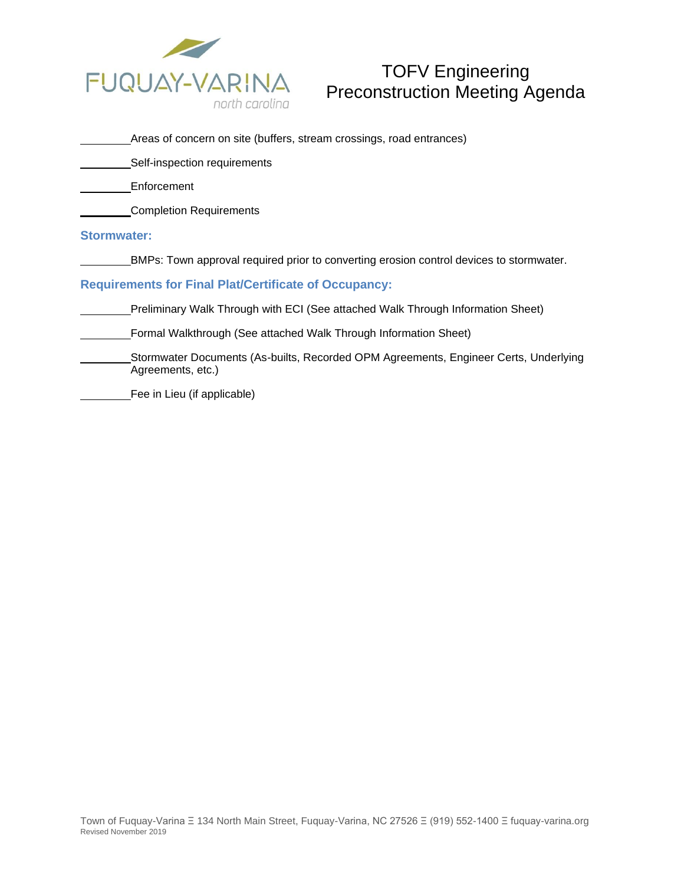

# TOFV Engineering Preconstruction Meeting Agenda

| _Areas of concern on site (buffers, stream crossings, road entrances) |
|-----------------------------------------------------------------------|
|-----------------------------------------------------------------------|

**Self-inspection requirements** 

Enforcement

**Completion Requirements** 

# **Stormwater:**

BMPs: Town approval required prior to converting erosion control devices to stormwater.

# **Requirements for Final Plat/Certificate of Occupancy:**

Preliminary Walk Through with ECI (See attached Walk Through Information Sheet)

Formal Walkthrough (See attached Walk Through Information Sheet)

Stormwater Documents (As-builts, Recorded OPM Agreements, Engineer Certs, Underlying Agreements, etc.)

Fee in Lieu (if applicable)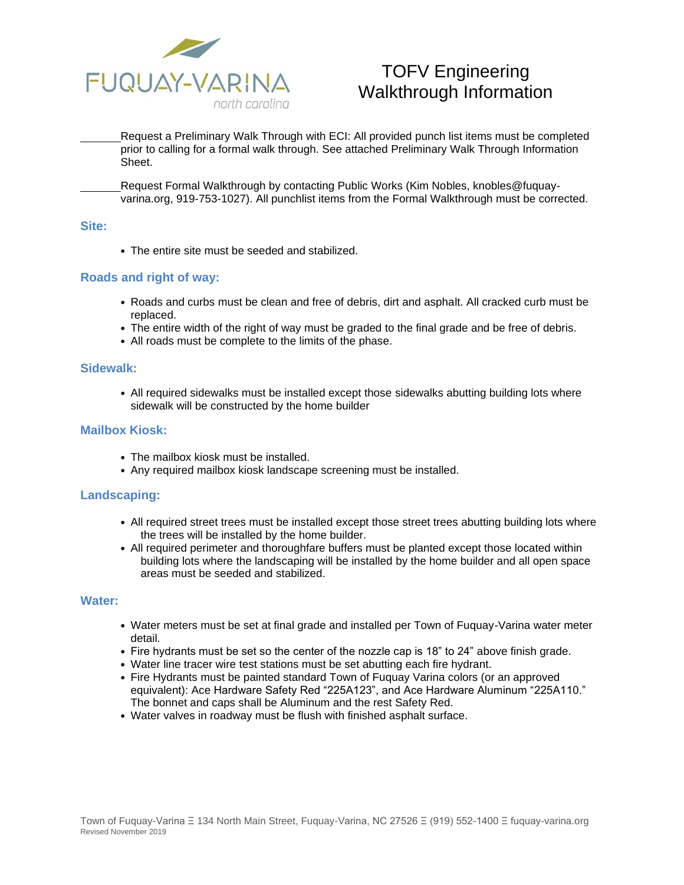

# TOFV Engineering Walkthrough Information

Request a Preliminary Walk Through with ECI: All provided punch list items must be completed prior to calling for a formal walk through. See attached Preliminary Walk Through Information Sheet.

Request Formal Walkthrough by contacting Public Works (Kim Nobles, knobles@fuquayvarina.org, 919-753-1027). All punchlist items from the Formal Walkthrough must be corrected.

### **Site:**

• The entire site must be seeded and stabilized.

### **Roads and right of way:**

- Roads and curbs must be clean and free of debris, dirt and asphalt. All cracked curb must be replaced.
- The entire width of the right of way must be graded to the final grade and be free of debris.
- All roads must be complete to the limits of the phase.

### **Sidewalk:**

• All required sidewalks must be installed except those sidewalks abutting building lots where sidewalk will be constructed by the home builder

### **Mailbox Kiosk:**

- The mailbox kiosk must be installed.
- Any required mailbox kiosk landscape screening must be installed.

### **Landscaping:**

- All required street trees must be installed except those street trees abutting building lots where the trees will be installed by the home builder.
- All required perimeter and thoroughfare buffers must be planted except those located within building lots where the landscaping will be installed by the home builder and all open space areas must be seeded and stabilized.

#### **Water:**

- Water meters must be set at final grade and installed per Town of Fuquay-Varina water meter detail.
- Fire hydrants must be set so the center of the nozzle cap is 18" to 24" above finish grade.
- Water line tracer wire test stations must be set abutting each fire hydrant.
- Fire Hydrants must be painted standard Town of Fuquay Varina colors (or an approved equivalent): Ace Hardware Safety Red "225A123", and Ace Hardware Aluminum "225A110." The bonnet and caps shall be Aluminum and the rest Safety Red.
- Water valves in roadway must be flush with finished asphalt surface.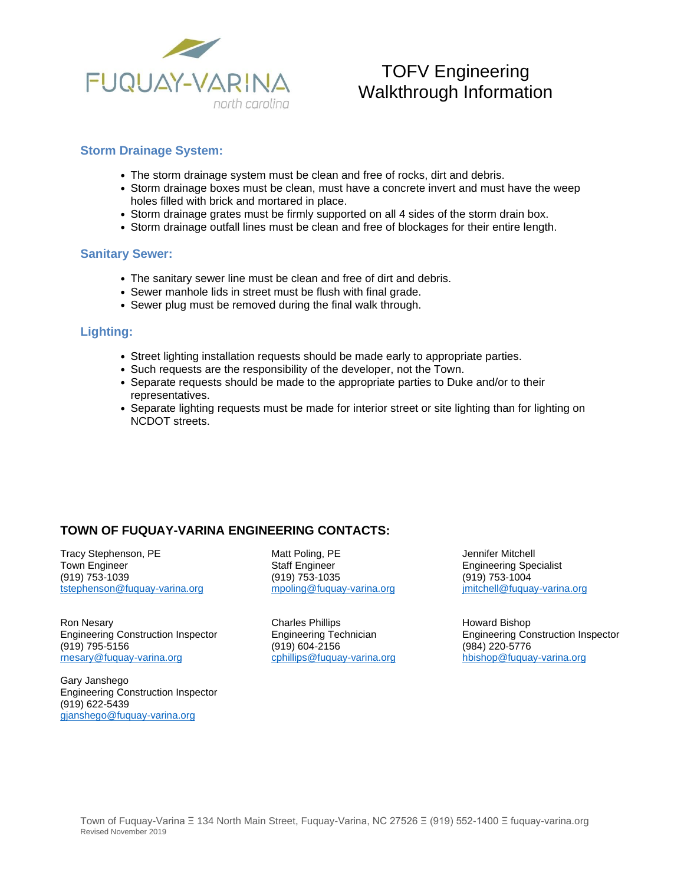

# TOFV Engineering Walkthrough Information

### **Storm Drainage System:**

- The storm drainage system must be clean and free of rocks, dirt and debris.
- Storm drainage boxes must be clean, must have a concrete invert and must have the weep holes filled with brick and mortared in place.
- Storm drainage grates must be firmly supported on all 4 sides of the storm drain box.
- Storm drainage outfall lines must be clean and free of blockages for their entire length.

### **Sanitary Sewer:**

- The sanitary sewer line must be clean and free of dirt and debris.
- Sewer manhole lids in street must be flush with final grade.
- Sewer plug must be removed during the final walk through.

### **Lighting:**

- Street lighting installation requests should be made early to appropriate parties.
- Such requests are the responsibility of the developer, not the Town.
- Separate requests should be made to the appropriate parties to Duke and/or to their representatives.
- Separate lighting requests must be made for interior street or site lighting than for lighting on NCDOT streets.

# **TOWN OF FUQUAY-VARINA ENGINEERING CONTACTS:**

Tracy Stephenson, PE **Matt Poling, PE** Jennifer Mitchell<br>Town Engineer **Contains State Staff Engineer** Communications Communications of the Staff Engineer Communications Town Engineer **Staff Engineer** Staff Engineer Engineering Specialist<br>
(919) 753-1039 (919) 753-1035 (919) 753-1035 [tstephenson@fuquay-varina.org](mailto:tstephenson@fuquay-varina.org)

Ron Nesary **Nesary Charles Phillips Howard Bishop Howard Bishop Howard Bishop** Engineering Construction Inspector Engineering Technician Engineering Construction Inspector (919) 795-5156 (919) 604-2156 (984) 220-5776 [rnesary@fuquay-varina.org](mailto:rnesary@fuquay-varina.org) [cphillips@fuquay-varina.org](mailto:cphillips@fuquay-varina.org) [hbishop@fuquay-varina.org](mailto:hbishop@fuquay-varina.org)

Gary Janshego Engineering Construction Inspector (919) 622-5439 [gjanshego@fuquay-varina.org](mailto:gjanshego@fuquay-varina.org)

(919) 753-1039 (919) 753-1035 (919) 753-1004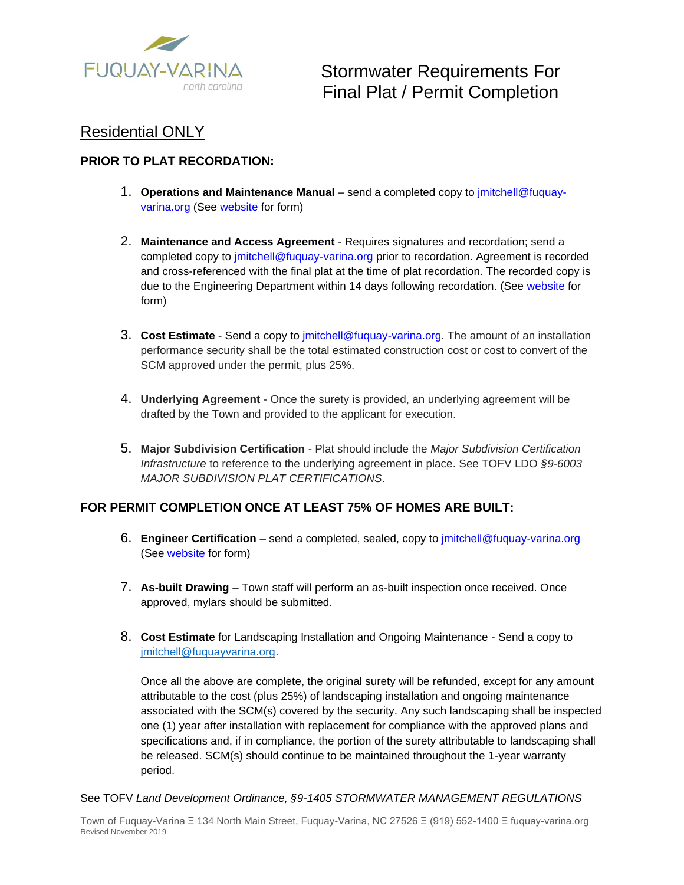

Stormwater Requirements For Final Plat / Permit Completion

# Residential ONLY

# **PRIOR TO PLAT RECORDATION:**

- 1. **Operations and Maintenance Manual**  send a completed copy to jmitchell@fuquayvarina.org (See website for form)
- 2. **Maintenance and Access Agreement**  Requires signatures and recordation; send a completed copy to jmitchell@fuquay-varina.org prior to recordation. Agreement is recorded and cross-referenced with the final plat at the time of plat recordation. The recorded copy is due to the Engineering Department within 14 days following recordation. (See website for form)
- 3. **Cost Estimate**  Send a copy to jmitchell@fuquay-varina.org. The amount of an installation performance security shall be the total estimated construction cost or cost to convert of the SCM approved under the permit, plus 25%.
- 4. **Underlying Agreement**  Once the surety is provided, an underlying agreement will be drafted by the Town and provided to the applicant for execution.
- 5. **Major Subdivision Certification**  Plat should include the *Major Subdivision Certification Infrastructure* to reference to the underlying agreement in place. See TOFV LDO *§9-6003 MAJOR SUBDIVISION PLAT CERTIFICATIONS*.

# **FOR PERMIT COMPLETION ONCE AT LEAST 75% OF HOMES ARE BUILT:**

- 6. **Engineer Certification**  send a completed, sealed, copy to jmitchell@fuquay-varina.org (See website for form)
- 7. **As-built Drawing**  Town staff will perform an as-built inspection once received. Once approved, mylars should be submitted.
- 8. **Cost Estimate** for Landscaping Installation and Ongoing Maintenance Send a copy to [jmitchell@fuquayvarina.org.](mailto:jmitchell@fuquayvarina.org)

Once all the above are complete, the original surety will be refunded, except for any amount attributable to the cost (plus 25%) of landscaping installation and ongoing maintenance associated with the SCM(s) covered by the security. Any such landscaping shall be inspected one (1) year after installation with replacement for compliance with the approved plans and specifications and, if in compliance, the portion of the surety attributable to landscaping shall be released. SCM(s) should continue to be maintained throughout the 1-year warranty period.

### See TOFV *Land Development Ordinance, §9-1405 STORMWATER MANAGEMENT REGULATIONS*